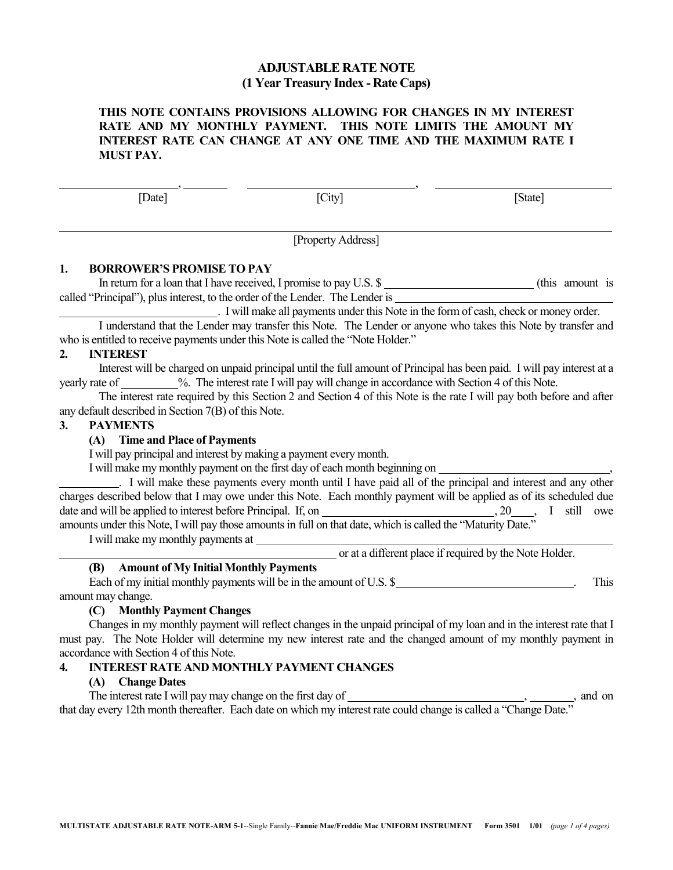# **ADJUSTABLE RATE NOTE (1 Year Treasury Index - Rate Caps)**

## **THIS NOTE CONTAINS PROVISIONS ALLOWING FOR CHANGES IN MY INTEREST RATE AND MY MONTHLY PAYMENT. THIS NOTE LIMITS THE AMOUNT MY INTEREST RATE CAN CHANGE AT ANY ONE TIME AND THE MAXIMUM RATE I MUST PAY.**

, ,

[Date] [City] [State]

[Property Address]

# **1. BORROWER'S PROMISE TO PAY**

In return for a loan that I have received, I promise to pay U.S.  $\frac{1}{2}$  (this amount is called "Principal"), plus interest, to the order of the Lender. The Lender is

. I will make all payments under this Note in the form of cash, check or money order.

I understand that the Lender may transfer this Note. The Lender or anyone who takes this Note by transfer and who is entitled to receive payments under this Note is called the "Note Holder."

## **2. INTEREST**

Interest will be charged on unpaid principal until the full amount of Principal has been paid. I will pay interest at a yearly rate of %. The interest rate I will pay will change in accordance with Section 4 of this Note.

The interest rate required by this Section 2 and Section 4 of this Note is the rate I will pay both before and after any default described in Section 7(B) of this Note.

## **3. PAYMENTS**

## **(A) Time and Place of Payments**

I will pay principal and interest by making a payment every month.

I will make my monthly payment on the first day of each month beginning on ,

. I will make these payments every month until I have paid all of the principal and interest and any other charges described below that I may owe under this Note. Each monthly payment will be applied as of its scheduled due date and will be applied to interest before Principal. If, on  $\frac{1}{2}$  ,  $\frac{1}{2}$  ,  $\frac{1}{2}$  still owe amounts under this Note, I will pay those amounts in full on that date, which is called the "Maturity Date."

I will make my monthly payments at

or at a different place if required by the Note Holder.

# **(B) Amount of My Initial Monthly Payments**

Each of my initial monthly payments will be in the amount of U.S. \$ . This amount may change.

## **(C) Monthly Payment Changes**

Changes in my monthly payment will reflect changes in the unpaid principal of my loan and in the interest rate that I must pay. The Note Holder will determine my new interest rate and the changed amount of my monthly payment in accordance with Section 4 of this Note.

# **4. INTEREST RATE AND MONTHLY PAYMENT CHANGES**

## **(A) Change Dates**

The interest rate I will pay may change on the first day of , , and on that day every 12th month thereafter. Each date on which my interest rate could change is called a "Change Date."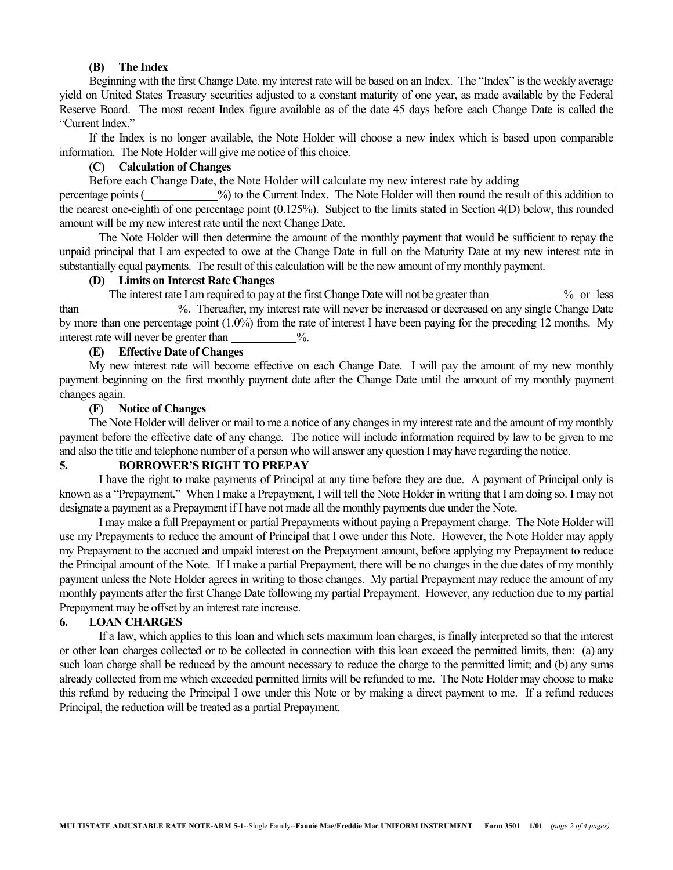#### **(B) The Index**

Beginning with the first Change Date, my interest rate will be based on an Index. The "Index" is the weekly average yield on United States Treasury securities adjusted to a constant maturity of one year, as made available by the Federal Reserve Board. The most recent Index figure available as of the date 45 days before each Change Date is called the "Current Index."

If the Index is no longer available, the Note Holder will choose a new index which is based upon comparable information. The Note Holder will give me notice of this choice.

#### **(C) Calculation of Changes**

Before each Change Date, the Note Holder will calculate my new interest rate by adding

percentage points ( %) to the Current Index. The Note Holder will then round the result of this addition to the nearest one-eighth of one percentage point (0.125%). Subject to the limits stated in Section 4(D) below, this rounded amount will be my new interest rate until the next Change Date.

The Note Holder will then determine the amount of the monthly payment that would be sufficient to repay the unpaid principal that I am expected to owe at the Change Date in full on the Maturity Date at my new interest rate in substantially equal payments. The result of this calculation will be the new amount of my monthly payment.

## **(D) Limits on Interest Rate Changes**

The interest rate I am required to pay at the first Change Date will not be greater than 2% or less than %. Thereafter, my interest rate will never be increased or decreased on any single Change Date by more than one percentage point (1.0%) from the rate of interest I have been paying for the preceding 12 months. My interest rate will never be greater than  $\frac{9}{6}$ .

## **(E) Effective Date of Changes**

My new interest rate will become effective on each Change Date. I will pay the amount of my new monthly payment beginning on the first monthly payment date after the Change Date until the amount of my monthly payment changes again.

#### **(F) Notice of Changes**

The Note Holder will deliver or mail to me a notice of any changes in my interest rate and the amount of my monthly payment before the effective date of any change. The notice will include information required by law to be given to me and also the title and telephone number of a person who will answer any question I may have regarding the notice.

# **5. BORROWER'S RIGHT TO PREPAY**

I have the right to make payments of Principal at any time before they are due. A payment of Principal only is known as a "Prepayment." When I make a Prepayment, I will tell the Note Holder in writing that I am doing so. I may not designate a payment as a Prepayment if I have not made all the monthly payments due under the Note.

I may make a full Prepayment or partial Prepayments without paying a Prepayment charge. The Note Holder will use my Prepayments to reduce the amount of Principal that I owe under this Note. However, the Note Holder may apply my Prepayment to the accrued and unpaid interest on the Prepayment amount, before applying my Prepayment to reduce the Principal amount of the Note. If I make a partial Prepayment, there will be no changes in the due dates of my monthly payment unless the Note Holder agrees in writing to those changes. My partial Prepayment may reduce the amount of my monthly payments after the first Change Date following my partial Prepayment. However, any reduction due to my partial Prepayment may be offset by an interest rate increase.

#### **6. LOAN CHARGES**

If a law, which applies to this loan and which sets maximum loan charges, is finally interpreted so that the interest or other loan charges collected or to be collected in connection with this loan exceed the permitted limits, then: (a) any such loan charge shall be reduced by the amount necessary to reduce the charge to the permitted limit; and (b) any sums already collected from me which exceeded permitted limits will be refunded to me. The Note Holder may choose to make this refund by reducing the Principal I owe under this Note or by making a direct payment to me. If a refund reduces Principal, the reduction will be treated as a partial Prepayment.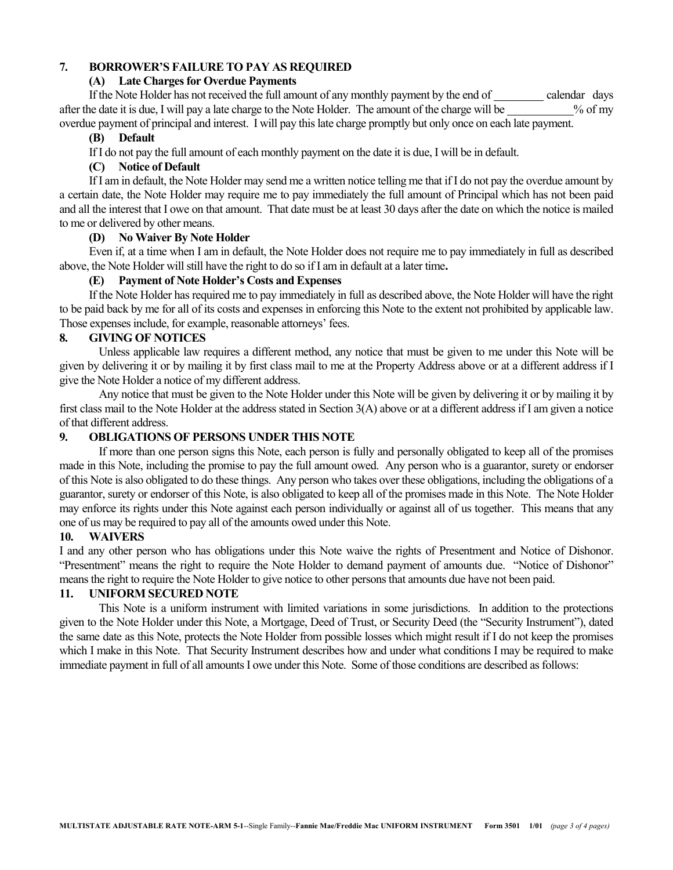## **7. BORROWER'S FAILURE TO PAY AS REQUIRED**

#### **(A) Late Charges for Overdue Payments**

If the Note Holder has not received the full amount of any monthly payment by the end of calendar days after the date it is due, I will pay a late charge to the Note Holder. The amount of the charge will be % of my overdue payment of principal and interest. I will pay this late charge promptly but only once on each late payment.

#### **(B) Default**

If I do not pay the full amount of each monthly payment on the date it is due, I will be in default.

## **(C) Notice of Default**

If I am in default, the Note Holder may send me a written notice telling me that if I do not pay the overdue amount by a certain date, the Note Holder may require me to pay immediately the full amount of Principal which has not been paid and all the interest that I owe on that amount. That date must be at least 30 days after the date on which the notice is mailed to me or delivered by other means.

## **(D) No Waiver By Note Holder**

Even if, at a time when I am in default, the Note Holder does not require me to pay immediately in full as described above, the Note Holder will still have the right to do so if I am in default at a later time**.** 

## **(E) Payment of Note Holder's Costs and Expenses**

If the Note Holder has required me to pay immediately in full as described above, the Note Holder will have the right to be paid back by me for all of its costs and expenses in enforcing this Note to the extent not prohibited by applicable law. Those expenses include, for example, reasonable attorneys' fees.

#### **8. GIVING OF NOTICES**

Unless applicable law requires a different method, any notice that must be given to me under this Note will be given by delivering it or by mailing it by first class mail to me at the Property Address above or at a different address if I give the Note Holder a notice of my different address.

Any notice that must be given to the Note Holder under this Note will be given by delivering it or by mailing it by first class mail to the Note Holder at the address stated in Section 3(A) above or at a different address if I am given a notice of that different address.

## **9. OBLIGATIONS OF PERSONS UNDER THIS NOTE**

If more than one person signs this Note, each person is fully and personally obligated to keep all of the promises made in this Note, including the promise to pay the full amount owed. Any person who is a guarantor, surety or endorser of this Note is also obligated to do these things. Any person who takes over these obligations, including the obligations of a guarantor, surety or endorser of this Note, is also obligated to keep all of the promises made in this Note. The Note Holder may enforce its rights under this Note against each person individually or against all of us together. This means that any one of us may be required to pay all of the amounts owed under this Note.

## **10. WAIVERS**

I and any other person who has obligations under this Note waive the rights of Presentment and Notice of Dishonor. "Presentment" means the right to require the Note Holder to demand payment of amounts due. "Notice of Dishonor" means the right to require the Note Holder to give notice to other persons that amounts due have not been paid.

## **11. UNIFORM SECURED NOTE**

This Note is a uniform instrument with limited variations in some jurisdictions. In addition to the protections given to the Note Holder under this Note, a Mortgage, Deed of Trust, or Security Deed (the "Security Instrument"), dated the same date as this Note, protects the Note Holder from possible losses which might result if I do not keep the promises which I make in this Note. That Security Instrument describes how and under what conditions I may be required to make immediate payment in full of all amounts I owe under this Note. Some of those conditions are described as follows: